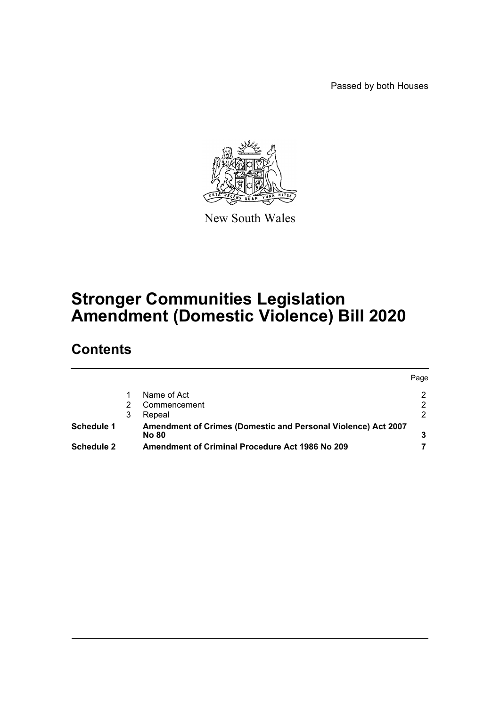Passed by both Houses



New South Wales

# **Stronger Communities Legislation Amendment (Domestic Violence) Bill 2020**

# **Contents**

|                   |   |                                                                               | Page |
|-------------------|---|-------------------------------------------------------------------------------|------|
|                   |   | Name of Act                                                                   |      |
|                   |   | Commencement                                                                  |      |
|                   | 3 | Repeal                                                                        |      |
| <b>Schedule 1</b> |   | Amendment of Crimes (Domestic and Personal Violence) Act 2007<br><b>No 80</b> |      |
| Schedule 2        |   | Amendment of Criminal Procedure Act 1986 No 209                               |      |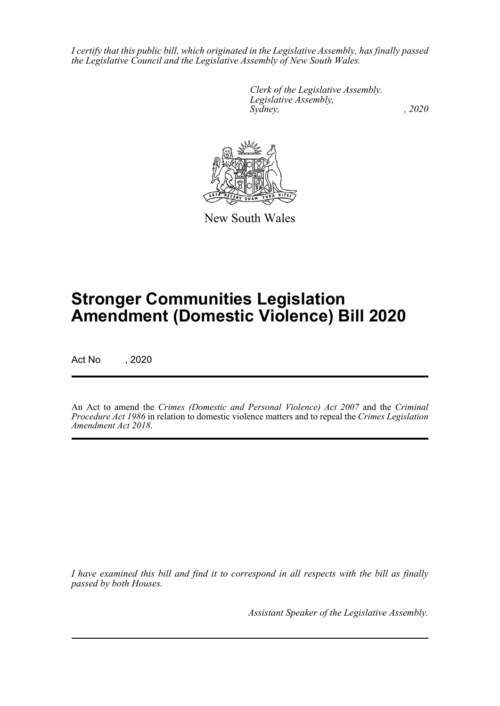*I certify that this public bill, which originated in the Legislative Assembly, has finally passed the Legislative Council and the Legislative Assembly of New South Wales.*

> *Clerk of the Legislative Assembly. Legislative Assembly, Sydney, , 2020*



New South Wales

# **Stronger Communities Legislation Amendment (Domestic Violence) Bill 2020**

Act No , 2020

An Act to amend the *Crimes (Domestic and Personal Violence) Act 2007* and the *Criminal Procedure Act 1986* in relation to domestic violence matters and to repeal the *Crimes Legislation Amendment Act 2018*.

*I have examined this bill and find it to correspond in all respects with the bill as finally passed by both Houses.*

*Assistant Speaker of the Legislative Assembly.*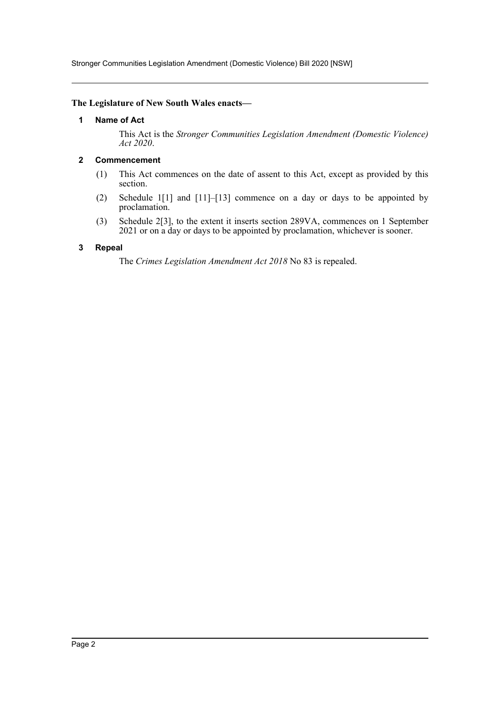Stronger Communities Legislation Amendment (Domestic Violence) Bill 2020 [NSW]

#### <span id="page-2-0"></span>**The Legislature of New South Wales enacts—**

#### **1 Name of Act**

This Act is the *Stronger Communities Legislation Amendment (Domestic Violence) Act 2020*.

#### <span id="page-2-1"></span>**2 Commencement**

- (1) This Act commences on the date of assent to this Act, except as provided by this section.
- (2) Schedule 1[1] and [11]–[13] commence on a day or days to be appointed by proclamation.
- (3) Schedule 2[3], to the extent it inserts section 289VA, commences on 1 September 2021 or on a day or days to be appointed by proclamation, whichever is sooner.

#### <span id="page-2-2"></span>**3 Repeal**

The *Crimes Legislation Amendment Act 2018* No 83 is repealed.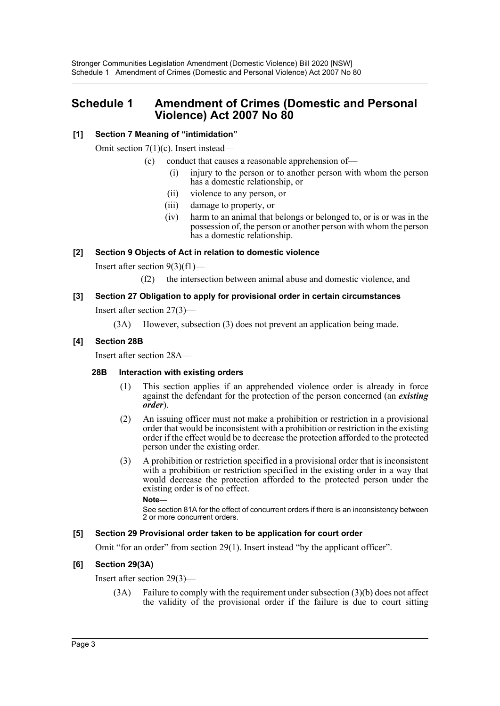# <span id="page-3-0"></span>**Schedule 1 Amendment of Crimes (Domestic and Personal Violence) Act 2007 No 80**

## **[1] Section 7 Meaning of "intimidation"**

Omit section 7(1)(c). Insert instead—

- (c) conduct that causes a reasonable apprehension of—
	- (i) injury to the person or to another person with whom the person has a domestic relationship, or
	- (ii) violence to any person, or
	- (iii) damage to property, or
	- (iv) harm to an animal that belongs or belonged to, or is or was in the possession of, the person or another person with whom the person has a domestic relationship.

## **[2] Section 9 Objects of Act in relation to domestic violence**

Insert after section  $9(3)(f1)$ —

(f2) the intersection between animal abuse and domestic violence, and

# **[3] Section 27 Obligation to apply for provisional order in certain circumstances**

Insert after section 27(3)—

(3A) However, subsection (3) does not prevent an application being made.

## **[4] Section 28B**

Insert after section 28A—

## **28B Interaction with existing orders**

- (1) This section applies if an apprehended violence order is already in force against the defendant for the protection of the person concerned (an *existing order*).
- (2) An issuing officer must not make a prohibition or restriction in a provisional order that would be inconsistent with a prohibition or restriction in the existing order if the effect would be to decrease the protection afforded to the protected person under the existing order.
- (3) A prohibition or restriction specified in a provisional order that is inconsistent with a prohibition or restriction specified in the existing order in a way that would decrease the protection afforded to the protected person under the existing order is of no effect.

**Note—** 

See section 81A for the effect of concurrent orders if there is an inconsistency between 2 or more concurrent orders.

## **[5] Section 29 Provisional order taken to be application for court order**

Omit "for an order" from section 29(1). Insert instead "by the applicant officer".

## **[6] Section 29(3A)**

Insert after section 29(3)—

(3A) Failure to comply with the requirement under subsection (3)(b) does not affect the validity of the provisional order if the failure is due to court sitting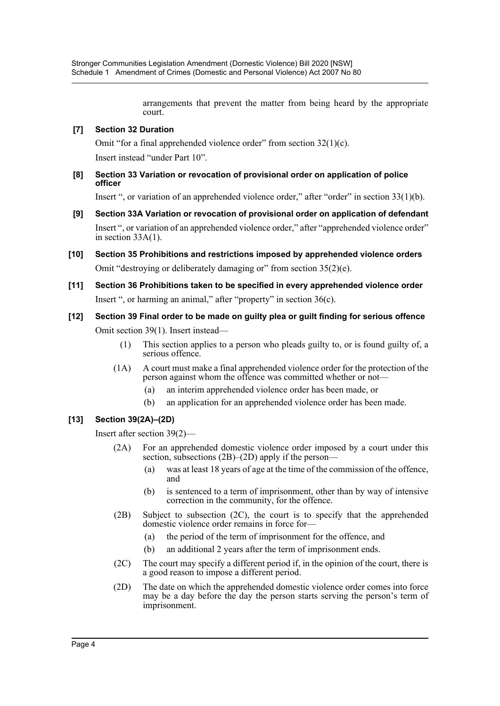arrangements that prevent the matter from being heard by the appropriate court.

## **[7] Section 32 Duration**

Omit "for a final apprehended violence order" from section 32(1)(c). Insert instead "under Part 10".

**[8] Section 33 Variation or revocation of provisional order on application of police officer**

Insert ", or variation of an apprehended violence order," after "order" in section 33(1)(b).

- **[9] Section 33A Variation or revocation of provisional order on application of defendant** Insert ", or variation of an apprehended violence order," after "apprehended violence order" in section 33A(1).
- **[10] Section 35 Prohibitions and restrictions imposed by apprehended violence orders** Omit "destroying or deliberately damaging or" from section 35(2)(e).
- **[11] Section 36 Prohibitions taken to be specified in every apprehended violence order** Insert ", or harming an animal," after "property" in section 36(c).
- **[12] Section 39 Final order to be made on guilty plea or guilt finding for serious offence** Omit section 39(1). Insert instead—
	- (1) This section applies to a person who pleads guilty to, or is found guilty of, a serious offence.
	- (1A) A court must make a final apprehended violence order for the protection of the person against whom the offence was committed whether or not—
		- (a) an interim apprehended violence order has been made, or
		- (b) an application for an apprehended violence order has been made.

## **[13] Section 39(2A)–(2D)**

Insert after section 39(2)—

- (2A) For an apprehended domestic violence order imposed by a court under this section, subsections (2B)–(2D) apply if the person–
	- (a) was at least 18 years of age at the time of the commission of the offence, and
	- (b) is sentenced to a term of imprisonment, other than by way of intensive correction in the community, for the offence.
- (2B) Subject to subsection (2C), the court is to specify that the apprehended domestic violence order remains in force for—
	- (a) the period of the term of imprisonment for the offence, and
	- (b) an additional 2 years after the term of imprisonment ends.
- (2C) The court may specify a different period if, in the opinion of the court, there is a good reason to impose a different period.
- (2D) The date on which the apprehended domestic violence order comes into force may be a day before the day the person starts serving the person's term of imprisonment.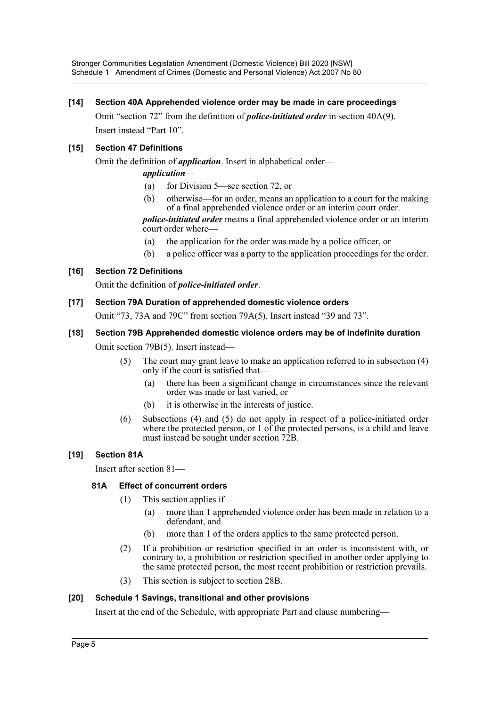Stronger Communities Legislation Amendment (Domestic Violence) Bill 2020 [NSW] Schedule 1 Amendment of Crimes (Domestic and Personal Violence) Act 2007 No 80

## **[14] Section 40A Apprehended violence order may be made in care proceedings**

Omit "section 72" from the definition of *police-initiated order* in section 40A(9). Insert instead "Part 10".

## **[15] Section 47 Definitions**

Omit the definition of *application*. Insert in alphabetical order—

## *application*—

- (a) for Division 5—see section 72, or
- (b) otherwise—for an order, means an application to a court for the making of a final apprehended violence order or an interim court order.

*police-initiated order* means a final apprehended violence order or an interim court order where—

- (a) the application for the order was made by a police officer, or
- (b) a police officer was a party to the application proceedings for the order.

## **[16] Section 72 Definitions**

Omit the definition of *police-initiated order*.

#### **[17] Section 79A Duration of apprehended domestic violence orders**

Omit "73, 73A and 79C" from section 79A(5). Insert instead "39 and 73".

## **[18] Section 79B Apprehended domestic violence orders may be of indefinite duration**

Omit section 79B(5). Insert instead—

- (5) The court may grant leave to make an application referred to in subsection (4) only if the court is satisfied that—
	- (a) there has been a significant change in circumstances since the relevant order was made or last varied, or
	- (b) it is otherwise in the interests of justice.
- (6) Subsections (4) and (5) do not apply in respect of a police-initiated order where the protected person, or 1 of the protected persons, is a child and leave must instead be sought under section 72B.

#### **[19] Section 81A**

Insert after section 81—

## **81A Effect of concurrent orders**

- (1) This section applies if—
	- (a) more than 1 apprehended violence order has been made in relation to a defendant, and
	- (b) more than 1 of the orders applies to the same protected person.
- (2) If a prohibition or restriction specified in an order is inconsistent with, or contrary to, a prohibition or restriction specified in another order applying to the same protected person, the most recent prohibition or restriction prevails.
- (3) This section is subject to section 28B.

#### **[20] Schedule 1 Savings, transitional and other provisions**

Insert at the end of the Schedule, with appropriate Part and clause numbering—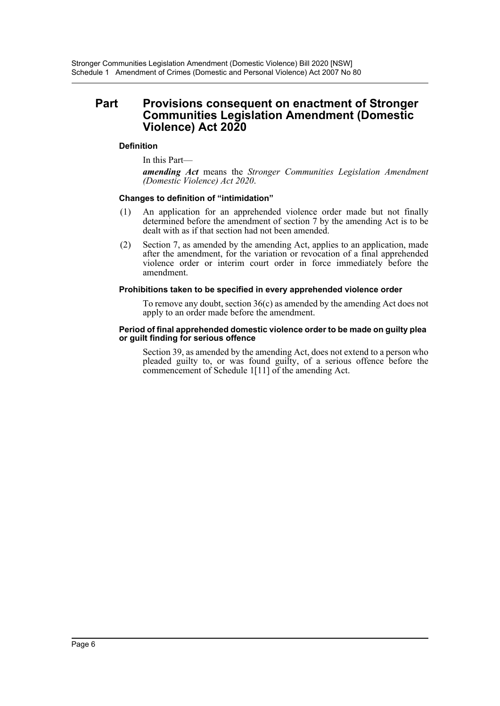## **Part Provisions consequent on enactment of Stronger Communities Legislation Amendment (Domestic Violence) Act 2020**

## **Definition**

In this Part—

*amending Act* means the *Stronger Communities Legislation Amendment (Domestic Violence) Act 2020*.

#### **Changes to definition of "intimidation"**

- (1) An application for an apprehended violence order made but not finally determined before the amendment of section 7 by the amending Act is to be dealt with as if that section had not been amended.
- (2) Section 7, as amended by the amending Act, applies to an application, made after the amendment, for the variation or revocation of a final apprehended violence order or interim court order in force immediately before the amendment.

#### **Prohibitions taken to be specified in every apprehended violence order**

To remove any doubt, section 36(c) as amended by the amending Act does not apply to an order made before the amendment.

#### **Period of final apprehended domestic violence order to be made on guilty plea or guilt finding for serious offence**

Section 39, as amended by the amending Act, does not extend to a person who pleaded guilty to, or was found guilty, of a serious offence before the commencement of Schedule 1[11] of the amending Act.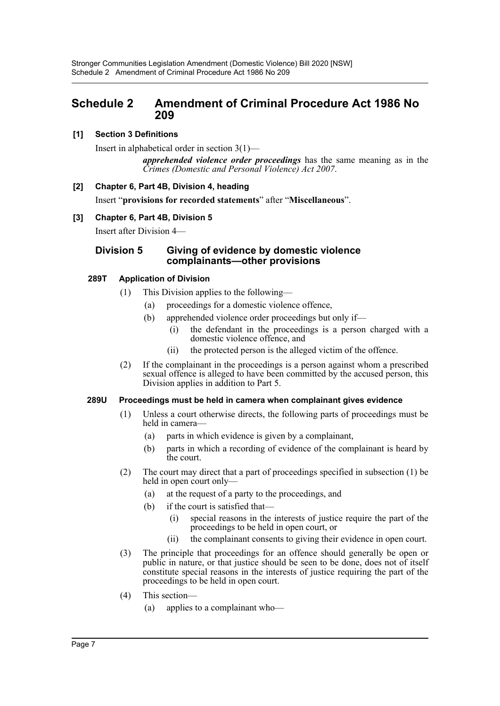# <span id="page-7-0"></span>**Schedule 2 Amendment of Criminal Procedure Act 1986 No 209**

## **[1] Section 3 Definitions**

Insert in alphabetical order in section 3(1)—

*apprehended violence order proceedings* has the same meaning as in the *Crimes (Domestic and Personal Violence) Act 2007*.

## **[2] Chapter 6, Part 4B, Division 4, heading**

Insert "**provisions for recorded statements**" after "**Miscellaneous**".

## **[3] Chapter 6, Part 4B, Division 5**

Insert after Division 4—

## **Division 5 Giving of evidence by domestic violence complainants—other provisions**

## **289T Application of Division**

- (1) This Division applies to the following—
	- (a) proceedings for a domestic violence offence,
	- (b) apprehended violence order proceedings but only if—
		- (i) the defendant in the proceedings is a person charged with a domestic violence offence, and
		- (ii) the protected person is the alleged victim of the offence.
- (2) If the complainant in the proceedings is a person against whom a prescribed sexual offence is alleged to have been committed by the accused person, this Division applies in addition to Part 5.

#### **289U Proceedings must be held in camera when complainant gives evidence**

- (1) Unless a court otherwise directs, the following parts of proceedings must be held in camera—
	- (a) parts in which evidence is given by a complainant,
	- (b) parts in which a recording of evidence of the complainant is heard by the court.
- (2) The court may direct that a part of proceedings specified in subsection (1) be held in open court only—
	- (a) at the request of a party to the proceedings, and
	- (b) if the court is satisfied that—
		- (i) special reasons in the interests of justice require the part of the proceedings to be held in open court, or
		- (ii) the complainant consents to giving their evidence in open court.
- (3) The principle that proceedings for an offence should generally be open or public in nature, or that justice should be seen to be done, does not of itself constitute special reasons in the interests of justice requiring the part of the proceedings to be held in open court.
- (4) This section—
	- (a) applies to a complainant who—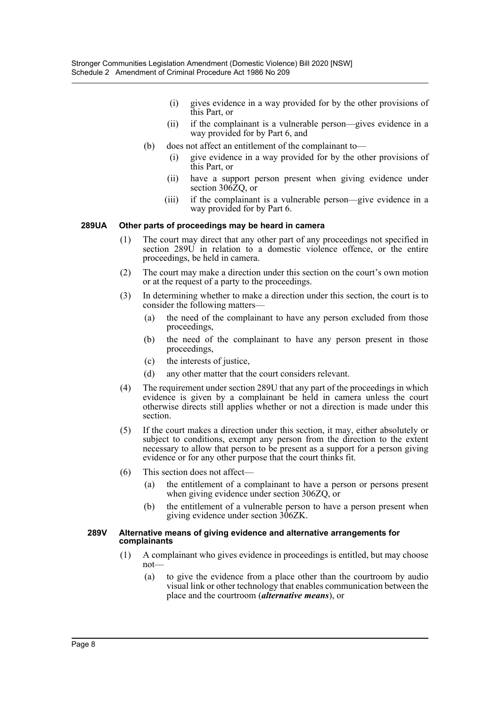- (i) gives evidence in a way provided for by the other provisions of this Part, or
- (ii) if the complainant is a vulnerable person—gives evidence in a way provided for by Part 6, and
- (b) does not affect an entitlement of the complainant to—
	- (i) give evidence in a way provided for by the other provisions of this Part, or
	- (ii) have a support person present when giving evidence under section 306ZQ, or
	- (iii) if the complainant is a vulnerable person—give evidence in a way provided for by Part 6.

#### **289UA Other parts of proceedings may be heard in camera**

- (1) The court may direct that any other part of any proceedings not specified in section 289U in relation to a domestic violence offence, or the entire proceedings, be held in camera.
- (2) The court may make a direction under this section on the court's own motion or at the request of a party to the proceedings.
- (3) In determining whether to make a direction under this section, the court is to consider the following matters—
	- (a) the need of the complainant to have any person excluded from those proceedings,
	- (b) the need of the complainant to have any person present in those proceedings,
	- (c) the interests of justice,
	- (d) any other matter that the court considers relevant.
- (4) The requirement under section 289U that any part of the proceedings in which evidence is given by a complainant be held in camera unless the court otherwise directs still applies whether or not a direction is made under this section.
- (5) If the court makes a direction under this section, it may, either absolutely or subject to conditions, exempt any person from the direction to the extent necessary to allow that person to be present as a support for a person giving evidence or for any other purpose that the court thinks fit.
- (6) This section does not affect—
	- (a) the entitlement of a complainant to have a person or persons present when giving evidence under section 306ZQ, or
	- (b) the entitlement of a vulnerable person to have a person present when giving evidence under section 306ZK.

#### **289V Alternative means of giving evidence and alternative arrangements for complainants**

- (1) A complainant who gives evidence in proceedings is entitled, but may choose not—
	- (a) to give the evidence from a place other than the courtroom by audio visual link or other technology that enables communication between the place and the courtroom (*alternative means*), or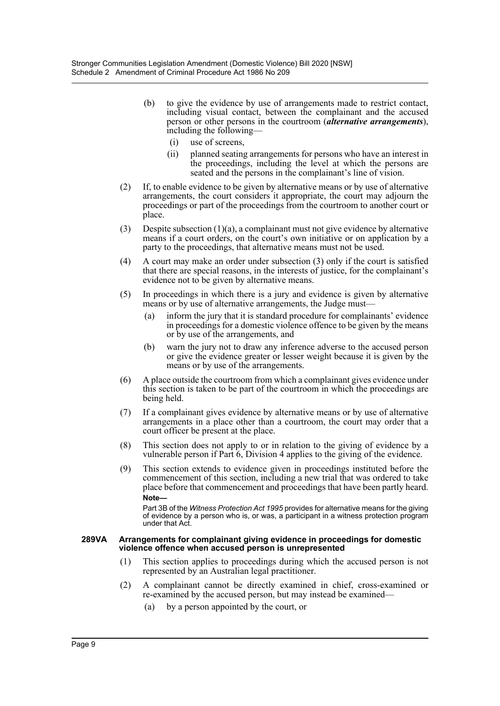- (b) to give the evidence by use of arrangements made to restrict contact, including visual contact, between the complainant and the accused person or other persons in the courtroom (*alternative arrangements*), including the following—
	- (i) use of screens,
	- (ii) planned seating arrangements for persons who have an interest in the proceedings, including the level at which the persons are seated and the persons in the complainant's line of vision.
- (2) If, to enable evidence to be given by alternative means or by use of alternative arrangements, the court considers it appropriate, the court may adjourn the proceedings or part of the proceedings from the courtroom to another court or place.
- (3) Despite subsection  $(1)(a)$ , a complainant must not give evidence by alternative means if a court orders, on the court's own initiative or on application by a party to the proceedings, that alternative means must not be used.
- (4) A court may make an order under subsection (3) only if the court is satisfied that there are special reasons, in the interests of justice, for the complainant's evidence not to be given by alternative means.
- (5) In proceedings in which there is a jury and evidence is given by alternative means or by use of alternative arrangements, the Judge must—
	- (a) inform the jury that it is standard procedure for complainants' evidence in proceedings for a domestic violence offence to be given by the means or by use of the arrangements, and
	- (b) warn the jury not to draw any inference adverse to the accused person or give the evidence greater or lesser weight because it is given by the means or by use of the arrangements.
- (6) A place outside the courtroom from which a complainant gives evidence under this section is taken to be part of the courtroom in which the proceedings are being held.
- (7) If a complainant gives evidence by alternative means or by use of alternative arrangements in a place other than a courtroom, the court may order that a court officer be present at the place.
- (8) This section does not apply to or in relation to the giving of evidence by a vulnerable person if Part 6, Division 4 applies to the giving of the evidence.
- (9) This section extends to evidence given in proceedings instituted before the commencement of this section, including a new trial that was ordered to take place before that commencement and proceedings that have been partly heard. **Note—**

Part 3B of the *Witness Protection Act 1995* provides for alternative means for the giving of evidence by a person who is, or was, a participant in a witness protection program under that Act.

#### **289VA Arrangements for complainant giving evidence in proceedings for domestic violence offence when accused person is unrepresented**

- (1) This section applies to proceedings during which the accused person is not represented by an Australian legal practitioner.
- (2) A complainant cannot be directly examined in chief, cross-examined or re-examined by the accused person, but may instead be examined—
	- (a) by a person appointed by the court, or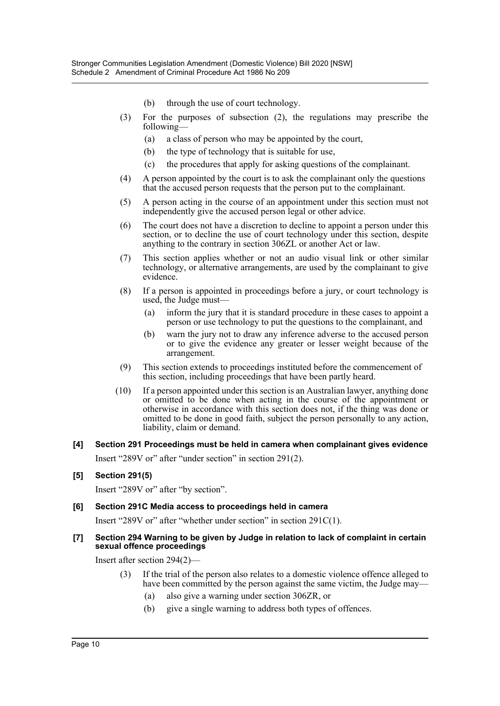- (b) through the use of court technology.
- (3) For the purposes of subsection (2), the regulations may prescribe the following—
	- (a) a class of person who may be appointed by the court,
	- (b) the type of technology that is suitable for use,
	- (c) the procedures that apply for asking questions of the complainant.
- (4) A person appointed by the court is to ask the complainant only the questions that the accused person requests that the person put to the complainant.
- (5) A person acting in the course of an appointment under this section must not independently give the accused person legal or other advice.
- (6) The court does not have a discretion to decline to appoint a person under this section, or to decline the use of court technology under this section, despite anything to the contrary in section 306ZL or another Act or law.
- (7) This section applies whether or not an audio visual link or other similar technology, or alternative arrangements, are used by the complainant to give evidence.
- (8) If a person is appointed in proceedings before a jury, or court technology is used, the Judge must—
	- (a) inform the jury that it is standard procedure in these cases to appoint a person or use technology to put the questions to the complainant, and
	- (b) warn the jury not to draw any inference adverse to the accused person or to give the evidence any greater or lesser weight because of the arrangement.
- (9) This section extends to proceedings instituted before the commencement of this section, including proceedings that have been partly heard.
- (10) If a person appointed under this section is an Australian lawyer, anything done or omitted to be done when acting in the course of the appointment or otherwise in accordance with this section does not, if the thing was done or omitted to be done in good faith, subject the person personally to any action, liability, claim or demand.

## **[4] Section 291 Proceedings must be held in camera when complainant gives evidence** Insert "289V or" after "under section" in section 291(2).

# **[5] Section 291(5)**

Insert "289V or" after "by section".

#### **[6] Section 291C Media access to proceedings held in camera**

Insert "289V or" after "whether under section" in section 291C(1).

#### **[7] Section 294 Warning to be given by Judge in relation to lack of complaint in certain sexual offence proceedings**

Insert after section 294(2)—

- (3) If the trial of the person also relates to a domestic violence offence alleged to have been committed by the person against the same victim, the Judge may—
	- (a) also give a warning under section 306ZR, or
	- (b) give a single warning to address both types of offences.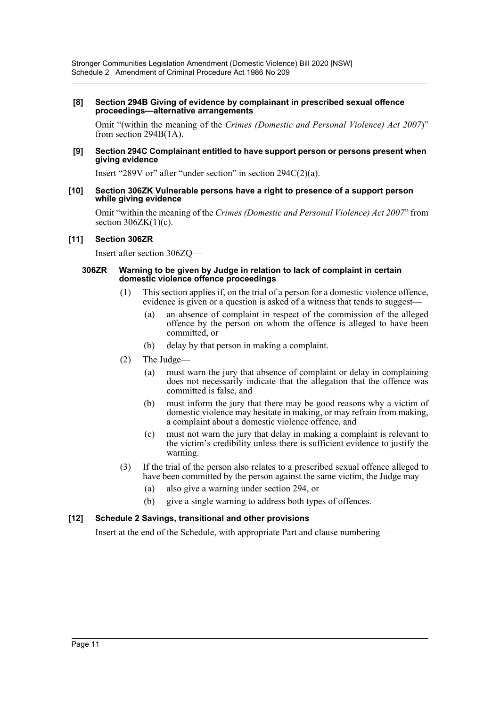#### **[8] Section 294B Giving of evidence by complainant in prescribed sexual offence proceedings—alternative arrangements**

Omit "(within the meaning of the *Crimes (Domestic and Personal Violence) Act 2007*)" from section 294B(1A).

#### **[9] Section 294C Complainant entitled to have support person or persons present when giving evidence**

Insert "289V or" after "under section" in section 294C(2)(a).

#### **[10] Section 306ZK Vulnerable persons have a right to presence of a support person while giving evidence**

Omit "within the meaning of the *Crimes (Domestic and Personal Violence) Act 2007*" from section  $306ZK(1)(c)$ .

#### **[11] Section 306ZR**

Insert after section 306ZQ—

#### **306ZR Warning to be given by Judge in relation to lack of complaint in certain domestic violence offence proceedings**

- (1) This section applies if, on the trial of a person for a domestic violence offence, evidence is given or a question is asked of a witness that tends to suggest-
	- (a) an absence of complaint in respect of the commission of the alleged offence by the person on whom the offence is alleged to have been committed, or
	- (b) delay by that person in making a complaint.
- (2) The Judge—
	- (a) must warn the jury that absence of complaint or delay in complaining does not necessarily indicate that the allegation that the offence was committed is false, and
	- (b) must inform the jury that there may be good reasons why a victim of domestic violence may hesitate in making, or may refrain from making, a complaint about a domestic violence offence, and
	- (c) must not warn the jury that delay in making a complaint is relevant to the victim's credibility unless there is sufficient evidence to justify the warning.
- (3) If the trial of the person also relates to a prescribed sexual offence alleged to have been committed by the person against the same victim, the Judge may—
	- (a) also give a warning under section 294, or
	- (b) give a single warning to address both types of offences.

#### **[12] Schedule 2 Savings, transitional and other provisions**

Insert at the end of the Schedule, with appropriate Part and clause numbering—